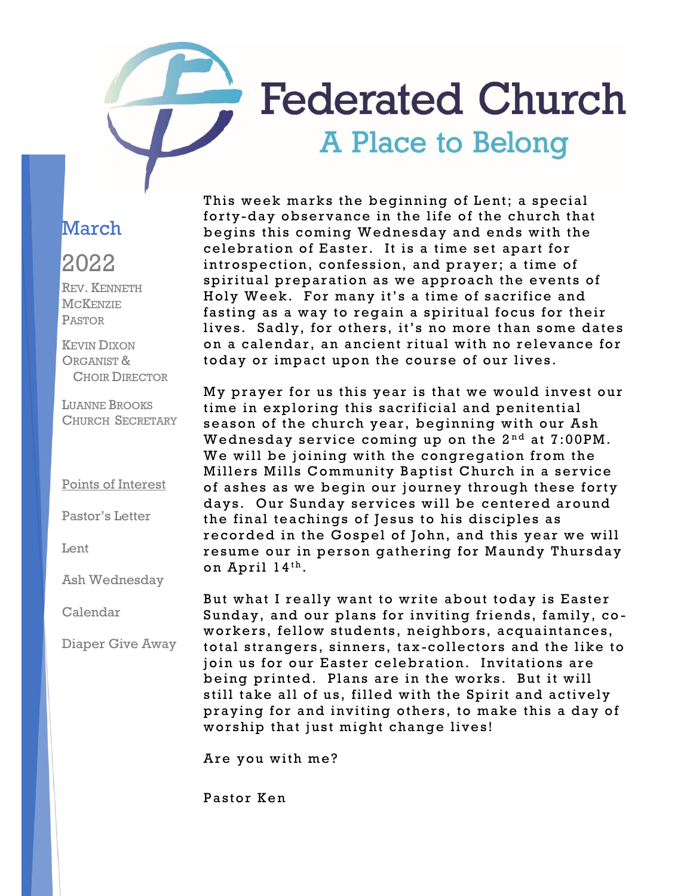### **Federated Church A Place to Belong**

### March

143

### 2022

REV. KENNETH **MCKENZIE PASTOR** 

KEVIN DIXON ORGANIST & CHOIR DIRECTOR

LUANNE BROOKS CHURCH SECRETARY

Points of Interest

Pastor's Letter

 $Lenf$ 

Ash Wednesday

Calendar

Diaper Give Away

This week marks the beginning of Lent; a special forty-day observance in the life of the church that begins this coming Wednesday and ends with the celebration of Easter. It is a time set apart for introspection, confession, and prayer; a time of spiritual preparation as we approach the events of Holy Week. For many it's a time of sacrifice and fasting as a way to regain a spiritual focus for their lives. Sadly, for others, it's no more than some dates on a calendar, an ancient ritual with no relevance for today or impact upon the course of our lives.

My prayer for us this year is that we would invest our time in exploring this sacrificial and penitential season of the church year, beginning with our Ash Wednesday service coming up on the  $2<sup>nd</sup>$  at  $7:00PM$ . We will be joining with the congregation from the Millers Mills Community Baptist Church in a service of ashes as we begin our journey through these forty days. Our Sunday services will be centered around the final teachings of Jesus to his disciples as recorded in the Gospel of John, and this year we will resume our in person gathering for Maundy Thursday on April 14<sup>th</sup>.

But what I really want to write about today is Easter Sunday, and our plans for inviting friends, family, coworkers, fellow students, neighbors, acquaintances, total strangers, sinners, tax-collectors and the like to join us for our Easter celebration. Invitations are being printed. Plans are in the works. But it will still take all of us, filled with the Spirit and actively praying for and inviting others, to make this a day of worship that just might change lives!

Are you with me?

Pastor Ken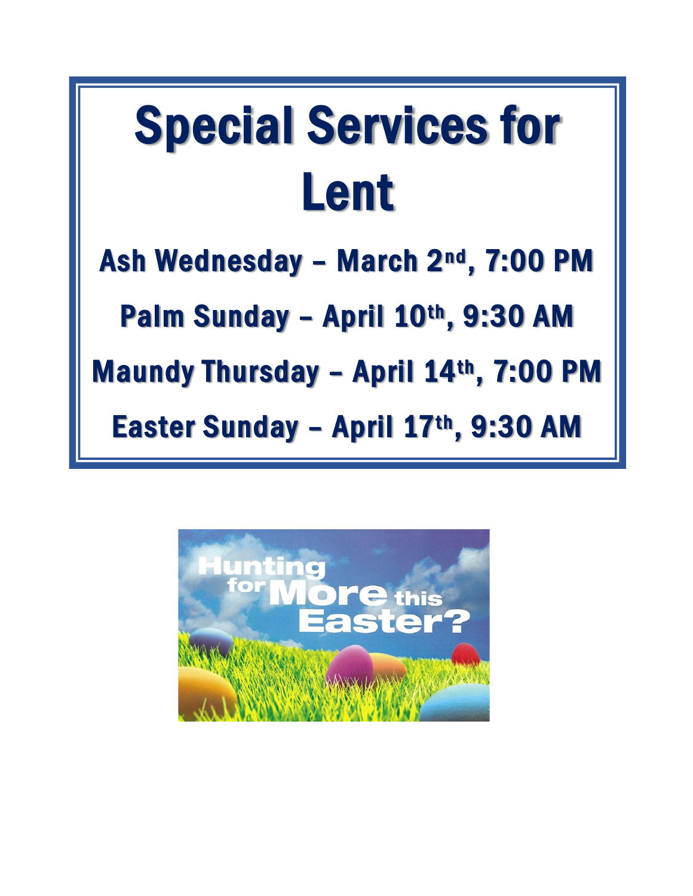## Special Services for Lent

Ash Wednesday – March 2nd, 7:00 PM

Palm Sunday – April 10th, 9:30 AM

Maundy Thursday – April 14th, 7:00 PM

Easter Sunday – April 17th, 9:30 AM

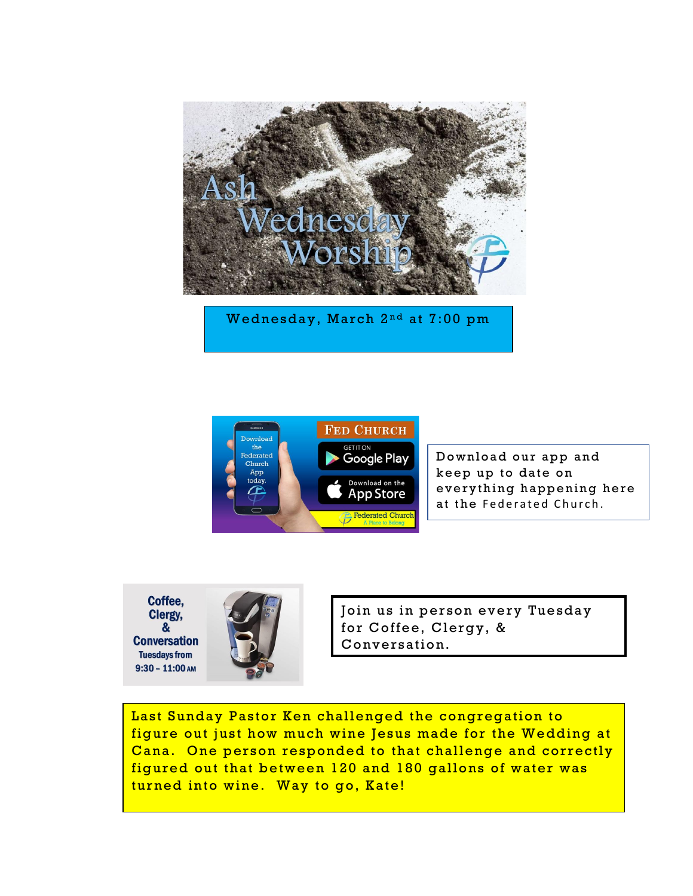

Wednesday, March 2nd at 7:00 pm



Download our app and keep up to date on every thing happening here at the Federated Church.

Coffee, Clergy, & **Conversation Tuesdays from**  $9:30 - 11:00$  AM



Join us in person every Tuesday for Coffee, Clergy, & Conversation.

Last Sunday Pastor Ken challenged the congregation to figure out just how much wine Jesus made for the Wedding at Cana. One person responded to that challenge and correctly figured out that between 120 and 180 gallons of water was turned into wine. Way to go, Kate!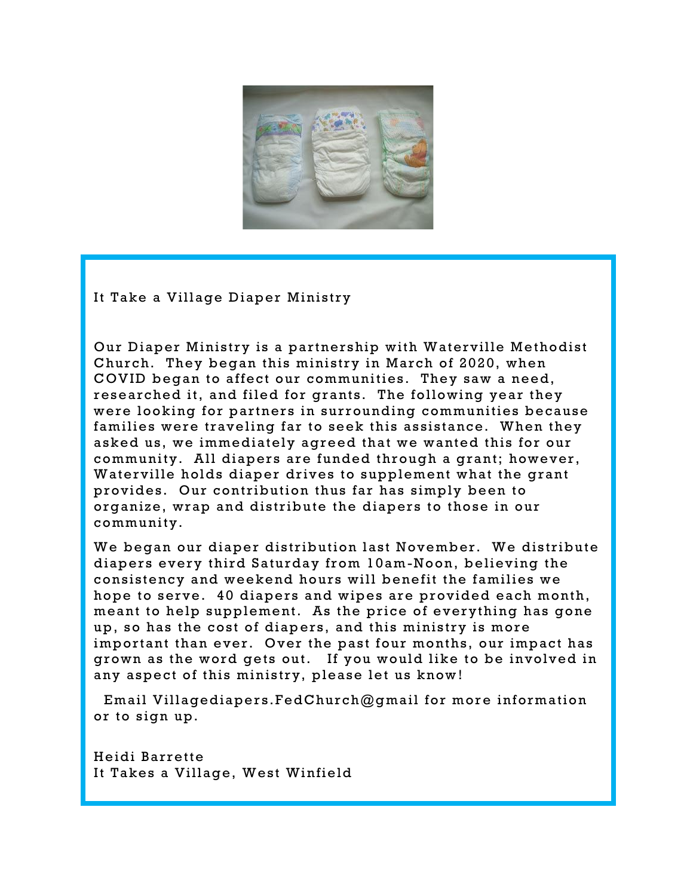

It Take a Village Diaper Ministry

Our Diaper Ministry is a partnership with Waterville Methodist Church. They began this ministry in March of 2020, when COVID began to affect our communities. They saw a need, researched it, and filed for grants. The following year they were looking for partners in surrounding communities because families were traveling far to seek this assistance. When they asked us, we immediately agreed that we wanted this for our community. All diapers are funded through a grant; however, Waterville holds diaper drives to supplement what the grant provides. Our contribution thus far has simply been to organize, wrap and distribute the diapers to those in our community.

We began our diaper distribution last November. We distribute diapers every third Saturday from 10am-Noon, believing the consistency and weekend hours will benefit the families we hope to serve. 40 diapers and wipes are provided each month, meant to help supplement. As the price of everything has gone up, so has the cost of diapers, and this ministry is more important than ever. Over the past four months, our impact has grown as the word gets out. If you would like to be involved in any aspect of this ministry, please let us know!

Email Villagediapers.FedChurch@gmail for more information or to sign up.

Heidi Barrette It Takes a Village, West Winfield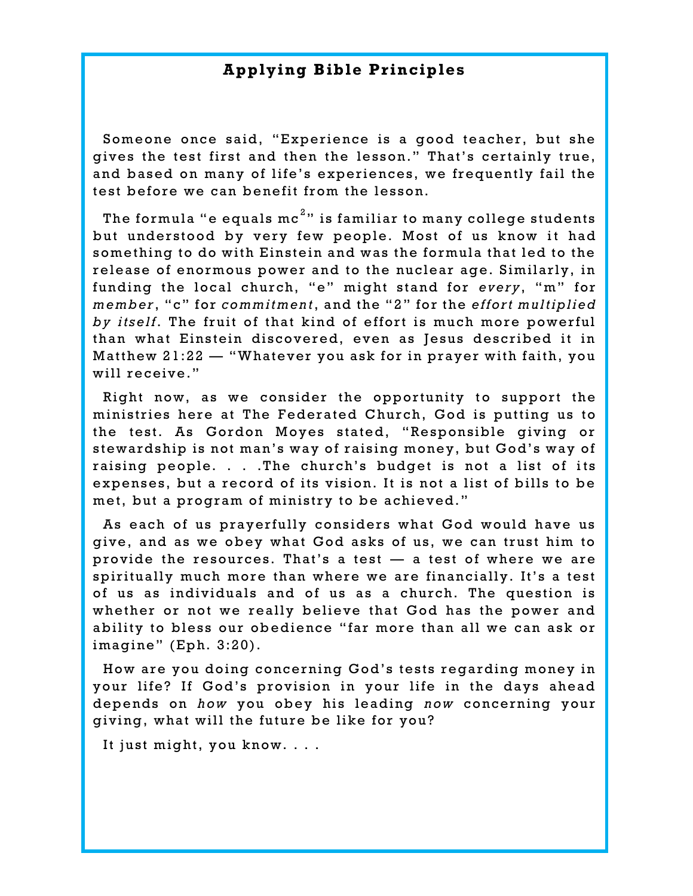#### **Applying Bible Principles**

Someone once said, "Experience is a good teacher, but she gives the test first and then the lesson." That's certainly true, and based on many of life's experiences, we frequently fail the test before we can benefit from the lesson.

The formula "e equals m ${\rm c}^{\,2\,}$ " is familiar to many college students but understood by very few people. Most of us know it had something to do with Einstein and was the formula that led to the release of enormous power and to the nuclear age. Similarly, in funding the local church, "e" might stand for *every*, "m" for *member*, "c" for *commitment*, and the "2" for the *effort multiplied by itself.* The fruit of that kind of effort is much more powerful than what Einstein discovered, even as Jesus described it in Matthew  $21:22$  — "Whatever you ask for in prayer with faith, you will receive."

Right now, as we consider the opportunity to support the ministries here at The Federated Church, God is putting us to the test. As Gordon Moyes stated, "Responsible giving or stewardship is not man's way of raising money, but God's way of raising people. . . . The church's budget is not a list of its expenses, but a record of its vision. It is not a list of bills to be met, but a program of ministry to be achieved."

As each of us prayerfully considers what God would have us give, and as we obey what God asks of us, we can trust him to provide the resources. That's a test  $-$  a test of where we are spiritually much more than where we are financially. It's a test of us as individuals and of us as a church. The question is whether or not we really believe that God has the power and ability to bless our obedience "far more than all we can ask or imagine" (Eph. 3:20).

How are you doing concerning God's tests regarding money in your life? If God's provision in your life in the days ahead depends on *how* you obey his leading now concerning your giving, what will the future be like for you?

It just might, you know. . . .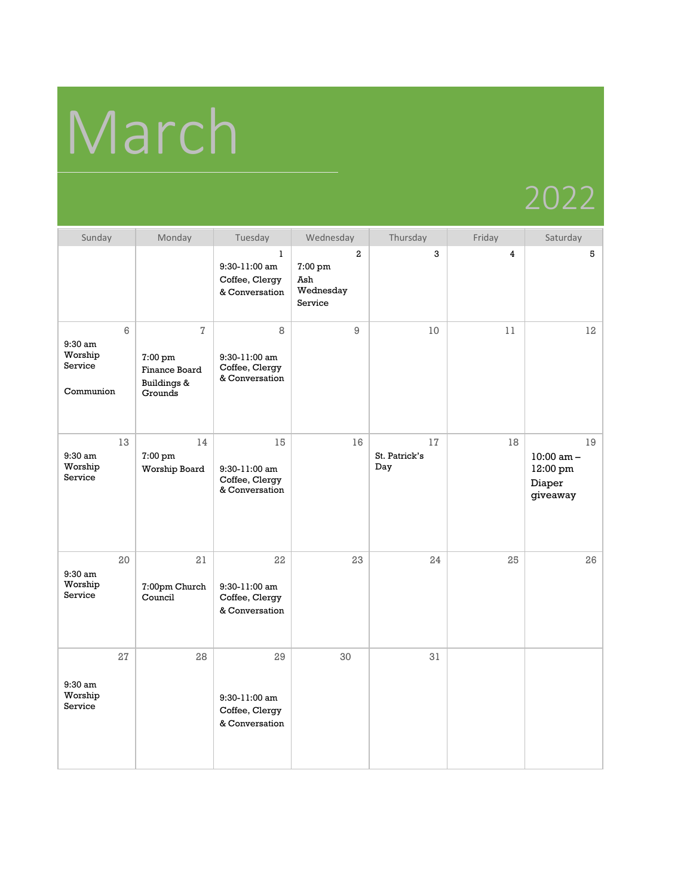# March

| Sunday                                            | Monday                                                                          | Tuesday                                                             | Wednesday                                                | Thursday                   | Friday | Saturday                                               |
|---------------------------------------------------|---------------------------------------------------------------------------------|---------------------------------------------------------------------|----------------------------------------------------------|----------------------------|--------|--------------------------------------------------------|
|                                                   |                                                                                 | $\mathbf{1}$<br>$9:30-11:00$ am<br>Coffee, Clergy<br>& Conversation | $\overline{a}$<br>7:00 pm<br>Ash<br>Wednesday<br>Service | 3                          | 4      | 5                                                      |
| 6<br>$9:30$ am<br>Worship<br>Service<br>Communion | $\overline{1}$<br>7:00 pm<br>Finance Board<br><b>Buildings &amp;</b><br>Grounds | 8<br>9:30-11:00 am<br>Coffee, Clergy<br>& Conversation              | $\overline{9}$                                           | 10                         | 11     | 12                                                     |
| 13<br>$9:30$ am<br>Worship<br>Service             | 14<br>7:00 pm<br>Worship Board                                                  | 15<br>9:30-11:00 am<br>Coffee, Clergy<br>& Conversation             | 16                                                       | 17<br>St. Patrick's<br>Day | 18     | 19<br>$10:00$ am $-$<br>12:00 pm<br>Diaper<br>giveaway |
| 20<br>$9:30$ am<br>Worship<br>Service             | 21<br>7:00pm Church<br>Council                                                  | 22<br>$9:30 - 11:00$ am<br>Coffee, Clergy<br>& Conversation         | 23                                                       | 24                         | 25     | 26                                                     |
| 27<br>$9:30$ am<br>Worship<br>Service             | 28                                                                              | 29<br>9:30-11:00 am<br>Coffee, Clergy<br>& Conversation             | 30                                                       | 31                         |        |                                                        |